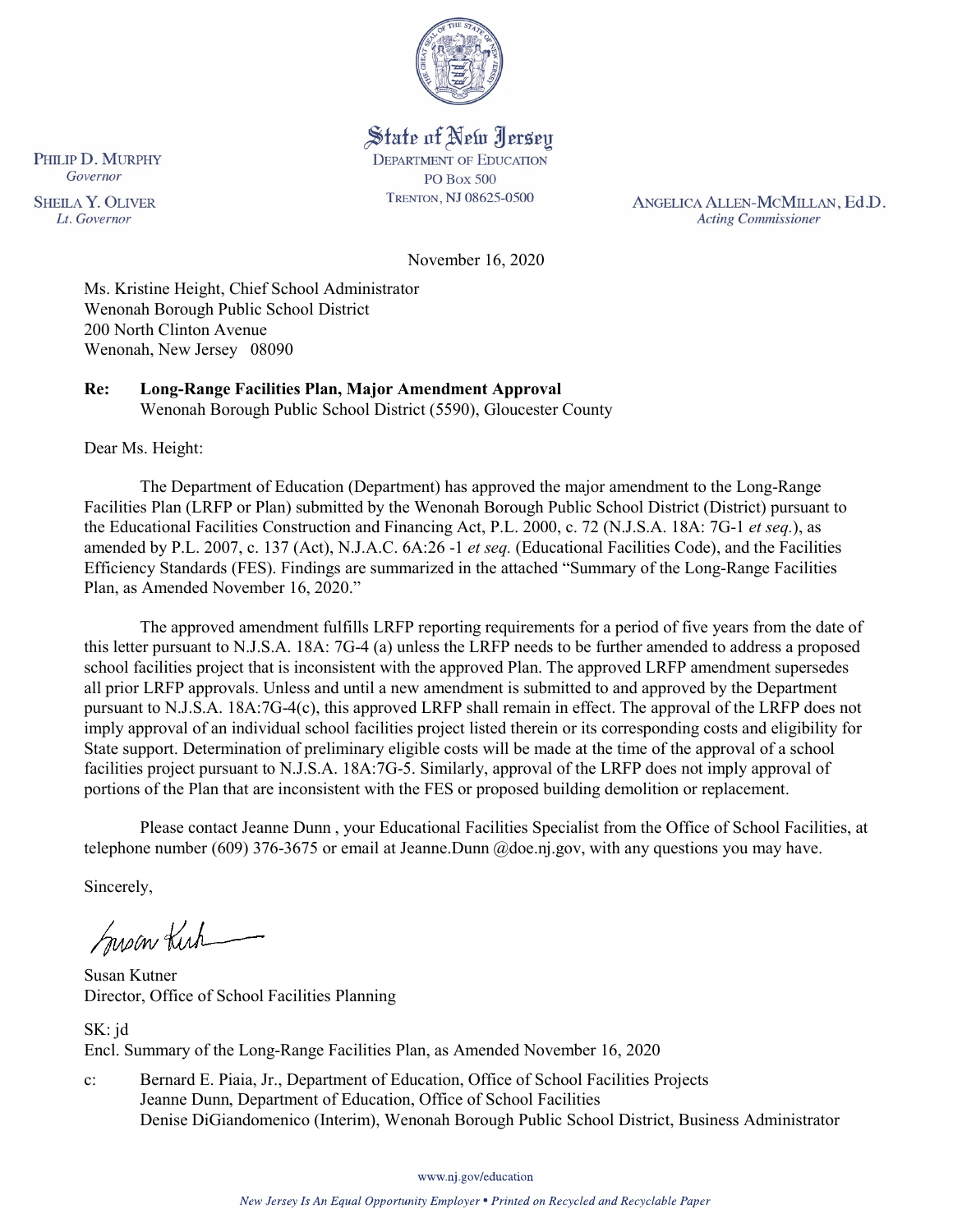

# State of New Jersey

**DEPARTMENT OF EDUCATION PO Box 500** TRENTON, NJ 08625-0500

ANGELICA ALLEN-MCMILLAN, Ed.D. **Acting Commissioner** 

November 16, 2020

Ms. Kristine Height, Chief School Administrator Wenonah Borough Public School District 200 North Clinton Avenue Wenonah, New Jersey 08090

**Re: Long-Range Facilities Plan, Major Amendment Approval**  Wenonah Borough Public School District (5590), Gloucester County

Dear Ms. Height:

The Department of Education (Department) has approved the major amendment to the Long-Range Facilities Plan (LRFP or Plan) submitted by the Wenonah Borough Public School District (District) pursuant to the Educational Facilities Construction and Financing Act, P.L. 2000, c. 72 (N.J.S.A. 18A: 7G-1 *et seq.*), as amended by P.L. 2007, c. 137 (Act), N.J.A.C. 6A:26 -1 *et seq.* (Educational Facilities Code), and the Facilities Efficiency Standards (FES). Findings are summarized in the attached "Summary of the Long-Range Facilities Plan, as Amended November 16, 2020."

The approved amendment fulfills LRFP reporting requirements for a period of five years from the date of this letter pursuant to N.J.S.A. 18A: 7G-4 (a) unless the LRFP needs to be further amended to address a proposed school facilities project that is inconsistent with the approved Plan. The approved LRFP amendment supersedes all prior LRFP approvals. Unless and until a new amendment is submitted to and approved by the Department pursuant to N.J.S.A. 18A:7G-4(c), this approved LRFP shall remain in effect. The approval of the LRFP does not imply approval of an individual school facilities project listed therein or its corresponding costs and eligibility for State support. Determination of preliminary eligible costs will be made at the time of the approval of a school facilities project pursuant to N.J.S.A. 18A:7G-5. Similarly, approval of the LRFP does not imply approval of portions of the Plan that are inconsistent with the FES or proposed building demolition or replacement.

Please contact Jeanne Dunn , your Educational Facilities Specialist from the Office of School Facilities, at telephone number (609) 376-3675 or email at Jeanne.Dunn @doe.nj.gov, with any questions you may have.

Sincerely,

Susan Kich

Susan Kutner Director, Office of School Facilities Planning

SK: jd Encl. Summary of the Long-Range Facilities Plan, as Amended November 16, 2020

c: Bernard E. Piaia, Jr., Department of Education, Office of School Facilities Projects Jeanne Dunn, Department of Education, Office of School Facilities Denise DiGiandomenico (Interim), Wenonah Borough Public School District, Business Administrator

www.nj.gov/education

New Jersey Is An Equal Opportunity Employer . Printed on Recycled and Recyclable Paper

PHILIP D. MURPHY Governor

**SHEILA Y. OLIVER** Lt. Governor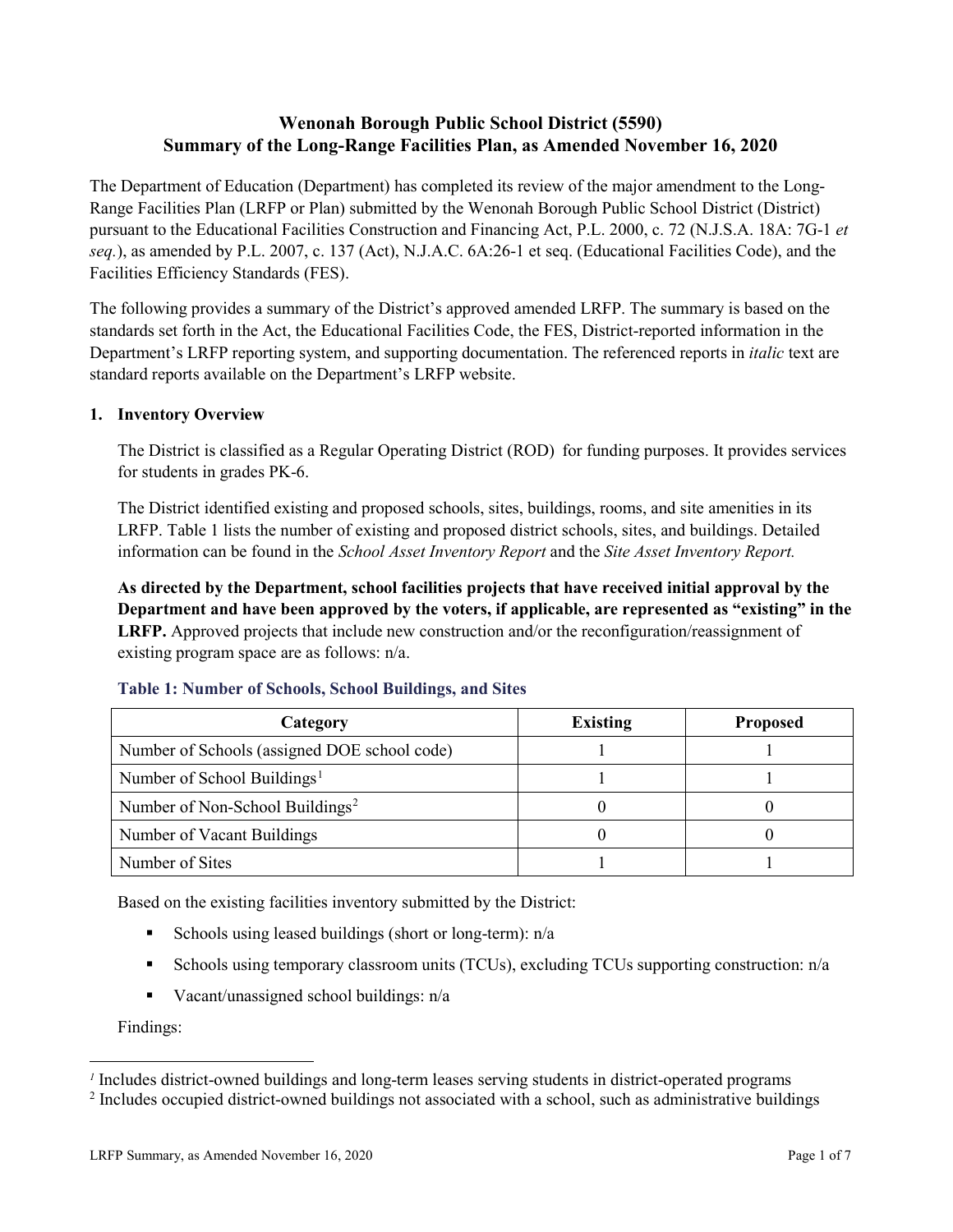# **Wenonah Borough Public School District (5590) Summary of the Long-Range Facilities Plan, as Amended November 16, 2020**

The Department of Education (Department) has completed its review of the major amendment to the Long-Range Facilities Plan (LRFP or Plan) submitted by the Wenonah Borough Public School District (District) pursuant to the Educational Facilities Construction and Financing Act, P.L. 2000, c. 72 (N.J.S.A. 18A: 7G-1 *et seq.*), as amended by P.L. 2007, c. 137 (Act), N.J.A.C. 6A:26-1 et seq. (Educational Facilities Code), and the Facilities Efficiency Standards (FES).

The following provides a summary of the District's approved amended LRFP. The summary is based on the standards set forth in the Act, the Educational Facilities Code, the FES, District-reported information in the Department's LRFP reporting system, and supporting documentation. The referenced reports in *italic* text are standard reports available on the Department's LRFP website.

# **1. Inventory Overview**

The District is classified as a Regular Operating District (ROD) for funding purposes. It provides services for students in grades PK-6.

The District identified existing and proposed schools, sites, buildings, rooms, and site amenities in its LRFP. Table 1 lists the number of existing and proposed district schools, sites, and buildings. Detailed information can be found in the *School Asset Inventory Report* and the *Site Asset Inventory Report.*

**As directed by the Department, school facilities projects that have received initial approval by the Department and have been approved by the voters, if applicable, are represented as "existing" in the LRFP.** Approved projects that include new construction and/or the reconfiguration/reassignment of existing program space are as follows: n/a.

| Category                                     | <b>Existing</b> | <b>Proposed</b> |
|----------------------------------------------|-----------------|-----------------|
| Number of Schools (assigned DOE school code) |                 |                 |
| Number of School Buildings <sup>1</sup>      |                 |                 |
| Number of Non-School Buildings <sup>2</sup>  |                 |                 |
| Number of Vacant Buildings                   |                 |                 |
| Number of Sites                              |                 |                 |

## **Table 1: Number of Schools, School Buildings, and Sites**

Based on the existing facilities inventory submitted by the District:

- Schools using leased buildings (short or long-term):  $n/a$
- Schools using temporary classroom units (TCUs), excluding TCUs supporting construction: n/a
- Vacant/unassigned school buildings:  $n/a$

Findings:

 $\overline{a}$ 

<span id="page-1-1"></span><span id="page-1-0"></span>*<sup>1</sup>* Includes district-owned buildings and long-term leases serving students in district-operated programs

<sup>&</sup>lt;sup>2</sup> Includes occupied district-owned buildings not associated with a school, such as administrative buildings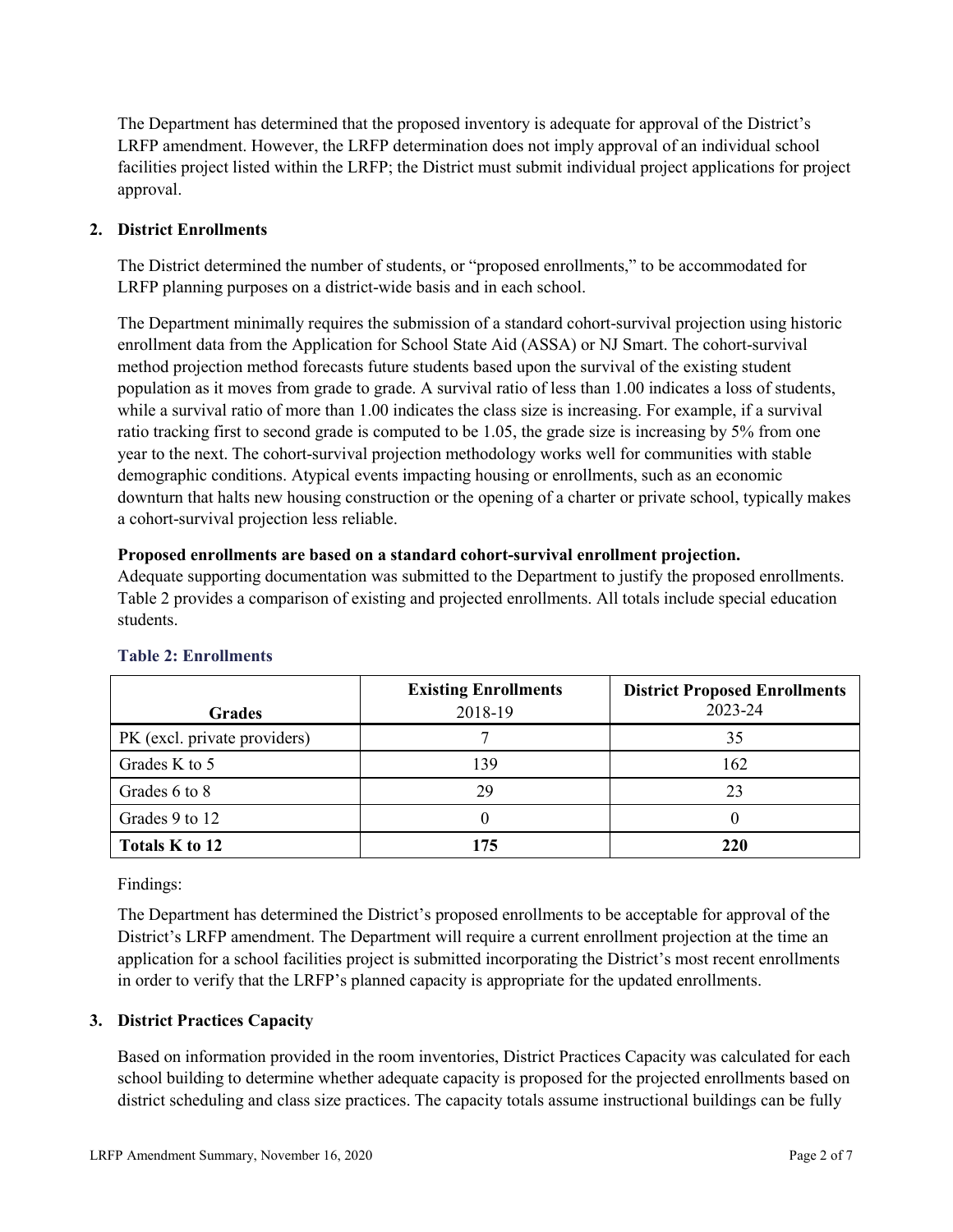The Department has determined that the proposed inventory is adequate for approval of the District's LRFP amendment. However, the LRFP determination does not imply approval of an individual school facilities project listed within the LRFP; the District must submit individual project applications for project approval.

# **2. District Enrollments**

The District determined the number of students, or "proposed enrollments," to be accommodated for LRFP planning purposes on a district-wide basis and in each school.

The Department minimally requires the submission of a standard cohort-survival projection using historic enrollment data from the Application for School State Aid (ASSA) or NJ Smart. The cohort-survival method projection method forecasts future students based upon the survival of the existing student population as it moves from grade to grade. A survival ratio of less than 1.00 indicates a loss of students, while a survival ratio of more than 1.00 indicates the class size is increasing. For example, if a survival ratio tracking first to second grade is computed to be 1.05, the grade size is increasing by 5% from one year to the next. The cohort-survival projection methodology works well for communities with stable demographic conditions. Atypical events impacting housing or enrollments, such as an economic downturn that halts new housing construction or the opening of a charter or private school, typically makes a cohort-survival projection less reliable.

## **Proposed enrollments are based on a standard cohort-survival enrollment projection.**

Adequate supporting documentation was submitted to the Department to justify the proposed enrollments. Table 2 provides a comparison of existing and projected enrollments. All totals include special education students.

| <b>Grades</b>                | <b>Existing Enrollments</b><br>2018-19 | <b>District Proposed Enrollments</b><br>2023-24 |
|------------------------------|----------------------------------------|-------------------------------------------------|
| PK (excl. private providers) |                                        | 35                                              |
| Grades K to 5                | 139                                    | 162                                             |
| Grades 6 to 8                | 29                                     | 23                                              |
| Grades 9 to 12               |                                        |                                                 |
| Totals K to 12               | 175                                    | 220                                             |

# **Table 2: Enrollments**

Findings:

The Department has determined the District's proposed enrollments to be acceptable for approval of the District's LRFP amendment. The Department will require a current enrollment projection at the time an application for a school facilities project is submitted incorporating the District's most recent enrollments in order to verify that the LRFP's planned capacity is appropriate for the updated enrollments.

# **3. District Practices Capacity**

Based on information provided in the room inventories, District Practices Capacity was calculated for each school building to determine whether adequate capacity is proposed for the projected enrollments based on district scheduling and class size practices. The capacity totals assume instructional buildings can be fully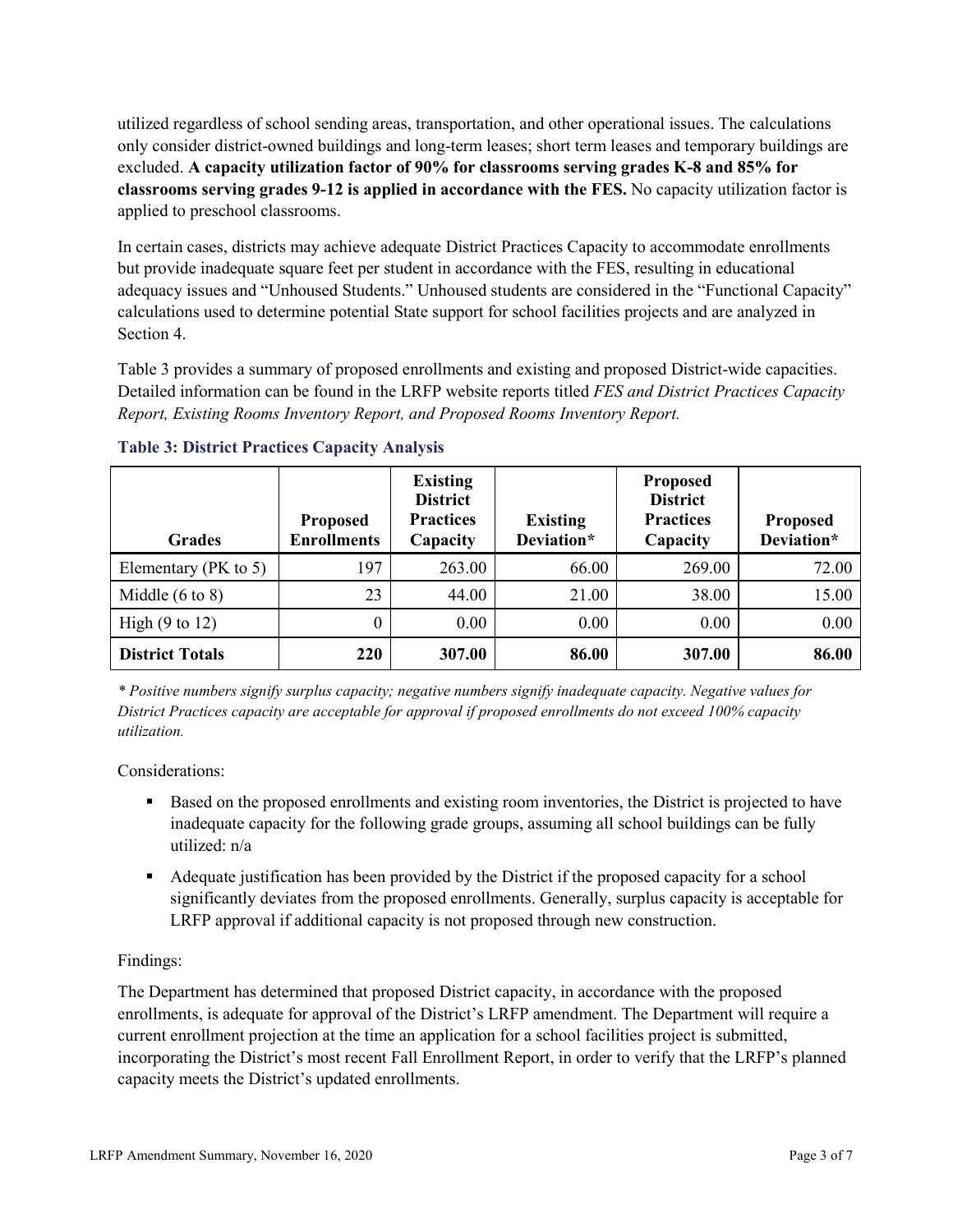utilized regardless of school sending areas, transportation, and other operational issues. The calculations only consider district-owned buildings and long-term leases; short term leases and temporary buildings are excluded. **A capacity utilization factor of 90% for classrooms serving grades K-8 and 85% for classrooms serving grades 9-12 is applied in accordance with the FES.** No capacity utilization factor is applied to preschool classrooms.

In certain cases, districts may achieve adequate District Practices Capacity to accommodate enrollments but provide inadequate square feet per student in accordance with the FES, resulting in educational adequacy issues and "Unhoused Students." Unhoused students are considered in the "Functional Capacity" calculations used to determine potential State support for school facilities projects and are analyzed in Section 4.

Table 3 provides a summary of proposed enrollments and existing and proposed District-wide capacities. Detailed information can be found in the LRFP website reports titled *FES and District Practices Capacity Report, Existing Rooms Inventory Report, and Proposed Rooms Inventory Report.*

| <b>Grades</b>              | <b>Proposed</b><br><b>Enrollments</b> | <b>Existing</b><br><b>District</b><br><b>Practices</b><br>Capacity | <b>Existing</b><br>Deviation* | <b>Proposed</b><br><b>District</b><br><b>Practices</b><br>Capacity | <b>Proposed</b><br>Deviation* |
|----------------------------|---------------------------------------|--------------------------------------------------------------------|-------------------------------|--------------------------------------------------------------------|-------------------------------|
| Elementary ( $PK$ to 5)    | 197                                   | 263.00                                                             | 66.00                         | 269.00                                                             | 72.00                         |
| Middle $(6 \text{ to } 8)$ | 23                                    | 44.00                                                              | 21.00                         | 38.00                                                              | 15.00                         |
| High $(9 \text{ to } 12)$  | 0                                     | 0.00                                                               | 0.00                          | 0.00                                                               | 0.00                          |
| <b>District Totals</b>     | 220                                   | 307.00                                                             | 86.00                         | 307.00                                                             | 86.00                         |

**Table 3: District Practices Capacity Analysis**

*\* Positive numbers signify surplus capacity; negative numbers signify inadequate capacity. Negative values for District Practices capacity are acceptable for approval if proposed enrollments do not exceed 100% capacity utilization.*

Considerations:

- Based on the proposed enrollments and existing room inventories, the District is projected to have inadequate capacity for the following grade groups, assuming all school buildings can be fully utilized: n/a
- Adequate justification has been provided by the District if the proposed capacity for a school significantly deviates from the proposed enrollments. Generally, surplus capacity is acceptable for LRFP approval if additional capacity is not proposed through new construction.

# Findings:

The Department has determined that proposed District capacity, in accordance with the proposed enrollments, is adequate for approval of the District's LRFP amendment. The Department will require a current enrollment projection at the time an application for a school facilities project is submitted, incorporating the District's most recent Fall Enrollment Report, in order to verify that the LRFP's planned capacity meets the District's updated enrollments.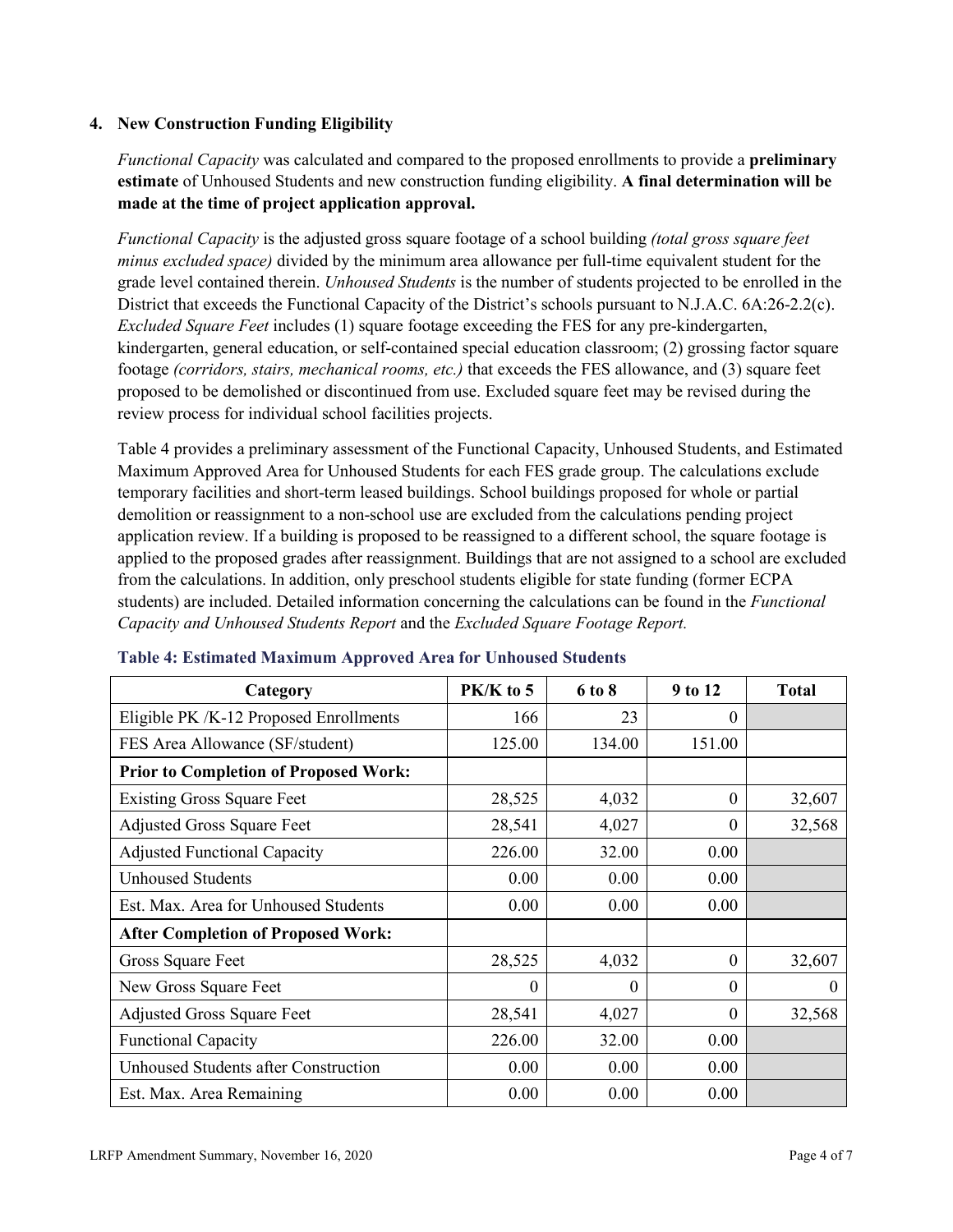## **4. New Construction Funding Eligibility**

*Functional Capacity* was calculated and compared to the proposed enrollments to provide a **preliminary estimate** of Unhoused Students and new construction funding eligibility. **A final determination will be made at the time of project application approval.**

*Functional Capacity* is the adjusted gross square footage of a school building *(total gross square feet minus excluded space)* divided by the minimum area allowance per full-time equivalent student for the grade level contained therein. *Unhoused Students* is the number of students projected to be enrolled in the District that exceeds the Functional Capacity of the District's schools pursuant to N.J.A.C. 6A:26-2.2(c). *Excluded Square Feet* includes (1) square footage exceeding the FES for any pre-kindergarten, kindergarten, general education, or self-contained special education classroom; (2) grossing factor square footage *(corridors, stairs, mechanical rooms, etc.)* that exceeds the FES allowance, and (3) square feet proposed to be demolished or discontinued from use. Excluded square feet may be revised during the review process for individual school facilities projects.

Table 4 provides a preliminary assessment of the Functional Capacity, Unhoused Students, and Estimated Maximum Approved Area for Unhoused Students for each FES grade group. The calculations exclude temporary facilities and short-term leased buildings. School buildings proposed for whole or partial demolition or reassignment to a non-school use are excluded from the calculations pending project application review. If a building is proposed to be reassigned to a different school, the square footage is applied to the proposed grades after reassignment. Buildings that are not assigned to a school are excluded from the calculations. In addition, only preschool students eligible for state funding (former ECPA students) are included. Detailed information concerning the calculations can be found in the *Functional Capacity and Unhoused Students Report* and the *Excluded Square Footage Report.*

| Category                                     | $PK/K$ to 5 | 6 to 8   | 9 to 12  | <b>Total</b> |
|----------------------------------------------|-------------|----------|----------|--------------|
| Eligible PK /K-12 Proposed Enrollments       | 166         | 23       | 0        |              |
| FES Area Allowance (SF/student)              | 125.00      | 134.00   | 151.00   |              |
| <b>Prior to Completion of Proposed Work:</b> |             |          |          |              |
| <b>Existing Gross Square Feet</b>            | 28,525      | 4,032    | 0        | 32,607       |
| <b>Adjusted Gross Square Feet</b>            | 28,541      | 4,027    | $\theta$ | 32,568       |
| <b>Adjusted Functional Capacity</b>          | 226.00      | 32.00    | 0.00     |              |
| <b>Unhoused Students</b>                     | 0.00        | 0.00     | 0.00     |              |
| Est. Max. Area for Unhoused Students         | 0.00        | 0.00     | 0.00     |              |
| <b>After Completion of Proposed Work:</b>    |             |          |          |              |
| Gross Square Feet                            | 28,525      | 4,032    | $\theta$ | 32,607       |
| New Gross Square Feet                        | $\theta$    | $\theta$ | $\theta$ | $\theta$     |
| <b>Adjusted Gross Square Feet</b>            | 28,541      | 4,027    | $\Omega$ | 32,568       |
| <b>Functional Capacity</b>                   | 226.00      | 32.00    | 0.00     |              |
| <b>Unhoused Students after Construction</b>  | 0.00        | 0.00     | 0.00     |              |
| Est. Max. Area Remaining                     | 0.00        | 0.00     | 0.00     |              |

## **Table 4: Estimated Maximum Approved Area for Unhoused Students**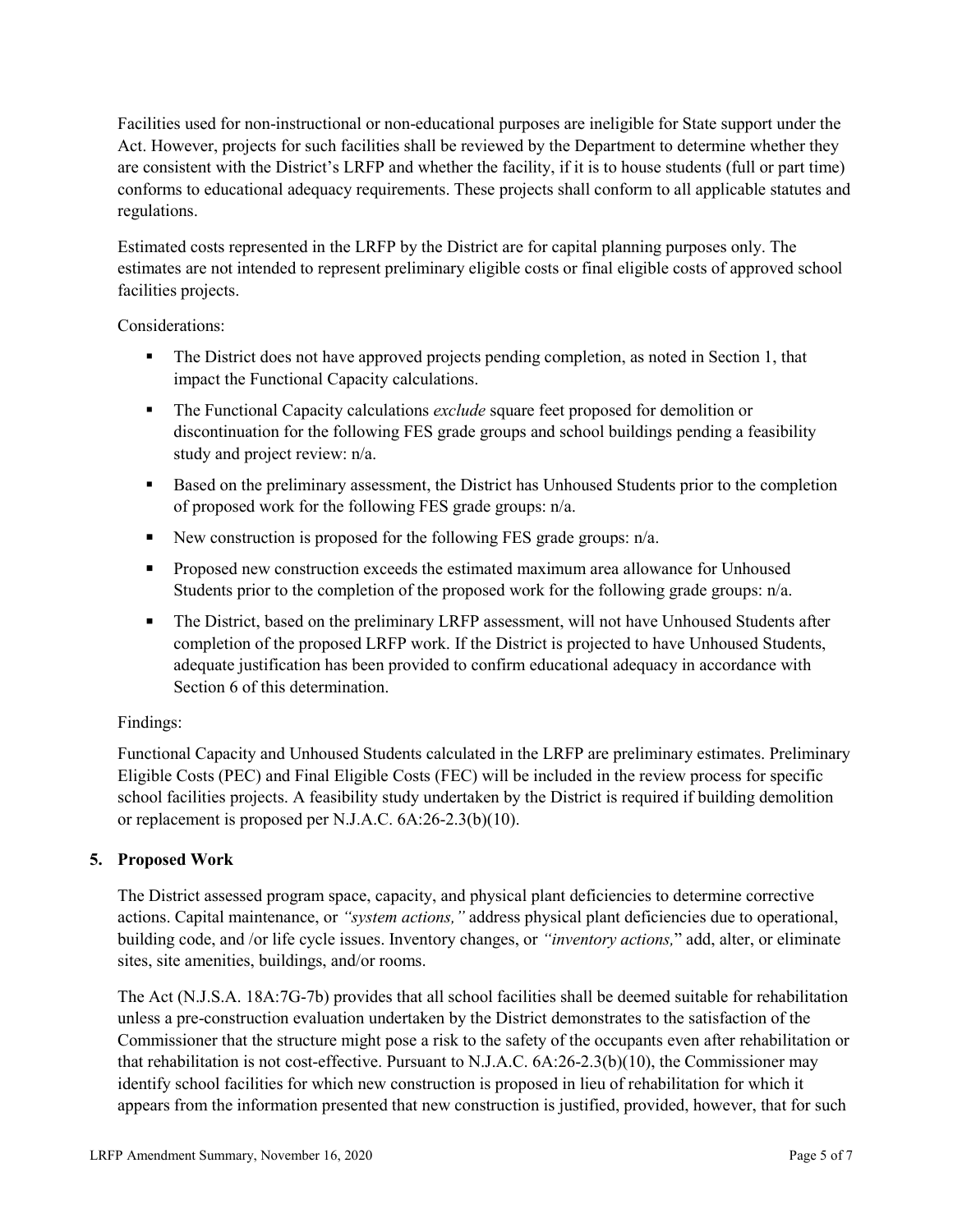Facilities used for non-instructional or non-educational purposes are ineligible for State support under the Act. However, projects for such facilities shall be reviewed by the Department to determine whether they are consistent with the District's LRFP and whether the facility, if it is to house students (full or part time) conforms to educational adequacy requirements. These projects shall conform to all applicable statutes and regulations.

Estimated costs represented in the LRFP by the District are for capital planning purposes only. The estimates are not intended to represent preliminary eligible costs or final eligible costs of approved school facilities projects.

Considerations:

- The District does not have approved projects pending completion, as noted in Section 1, that impact the Functional Capacity calculations.
- **The Functional Capacity calculations** *exclude* square feet proposed for demolition or discontinuation for the following FES grade groups and school buildings pending a feasibility study and project review: n/a.
- Based on the preliminary assessment, the District has Unhoused Students prior to the completion of proposed work for the following FES grade groups: n/a.
- New construction is proposed for the following FES grade groups: n/a.
- Proposed new construction exceeds the estimated maximum area allowance for Unhoused Students prior to the completion of the proposed work for the following grade groups: n/a.
- The District, based on the preliminary LRFP assessment, will not have Unhoused Students after completion of the proposed LRFP work. If the District is projected to have Unhoused Students, adequate justification has been provided to confirm educational adequacy in accordance with Section 6 of this determination.

# Findings:

Functional Capacity and Unhoused Students calculated in the LRFP are preliminary estimates. Preliminary Eligible Costs (PEC) and Final Eligible Costs (FEC) will be included in the review process for specific school facilities projects. A feasibility study undertaken by the District is required if building demolition or replacement is proposed per N.J.A.C. 6A:26-2.3(b)(10).

# **5. Proposed Work**

The District assessed program space, capacity, and physical plant deficiencies to determine corrective actions. Capital maintenance, or *"system actions,"* address physical plant deficiencies due to operational, building code, and /or life cycle issues. Inventory changes, or *"inventory actions,*" add, alter, or eliminate sites, site amenities, buildings, and/or rooms.

The Act (N.J.S.A. 18A:7G-7b) provides that all school facilities shall be deemed suitable for rehabilitation unless a pre-construction evaluation undertaken by the District demonstrates to the satisfaction of the Commissioner that the structure might pose a risk to the safety of the occupants even after rehabilitation or that rehabilitation is not cost-effective. Pursuant to N.J.A.C. 6A:26-2.3(b)(10), the Commissioner may identify school facilities for which new construction is proposed in lieu of rehabilitation for which it appears from the information presented that new construction is justified, provided, however, that for such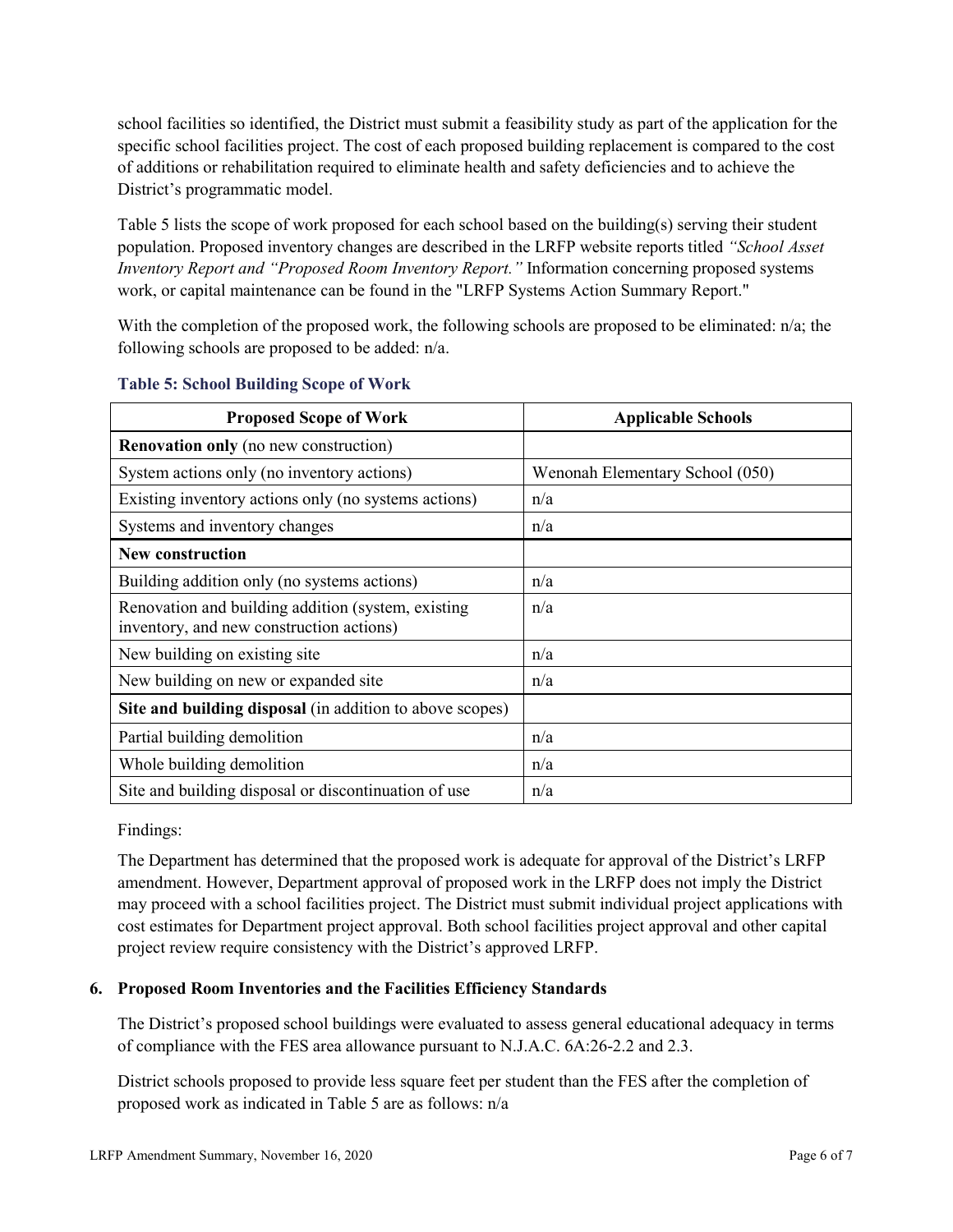school facilities so identified, the District must submit a feasibility study as part of the application for the specific school facilities project. The cost of each proposed building replacement is compared to the cost of additions or rehabilitation required to eliminate health and safety deficiencies and to achieve the District's programmatic model.

Table 5 lists the scope of work proposed for each school based on the building(s) serving their student population. Proposed inventory changes are described in the LRFP website reports titled *"School Asset Inventory Report and "Proposed Room Inventory Report."* Information concerning proposed systems work, or capital maintenance can be found in the "LRFP Systems Action Summary Report."

With the completion of the proposed work, the following schools are proposed to be eliminated: n/a; the following schools are proposed to be added: n/a.

| <b>Proposed Scope of Work</b>                                                                  | <b>Applicable Schools</b>       |
|------------------------------------------------------------------------------------------------|---------------------------------|
| <b>Renovation only</b> (no new construction)                                                   |                                 |
| System actions only (no inventory actions)                                                     | Wenonah Elementary School (050) |
| Existing inventory actions only (no systems actions)                                           | n/a                             |
| Systems and inventory changes                                                                  | n/a                             |
| <b>New construction</b>                                                                        |                                 |
| Building addition only (no systems actions)                                                    | n/a                             |
| Renovation and building addition (system, existing<br>inventory, and new construction actions) | n/a                             |
| New building on existing site                                                                  | n/a                             |
| New building on new or expanded site                                                           | n/a                             |
| Site and building disposal (in addition to above scopes)                                       |                                 |
| Partial building demolition                                                                    | n/a                             |
| Whole building demolition                                                                      | n/a                             |
| Site and building disposal or discontinuation of use                                           | n/a                             |

## **Table 5: School Building Scope of Work**

Findings:

The Department has determined that the proposed work is adequate for approval of the District's LRFP amendment. However, Department approval of proposed work in the LRFP does not imply the District may proceed with a school facilities project. The District must submit individual project applications with cost estimates for Department project approval. Both school facilities project approval and other capital project review require consistency with the District's approved LRFP.

# **6. Proposed Room Inventories and the Facilities Efficiency Standards**

The District's proposed school buildings were evaluated to assess general educational adequacy in terms of compliance with the FES area allowance pursuant to N.J.A.C. 6A:26-2.2 and 2.3.

District schools proposed to provide less square feet per student than the FES after the completion of proposed work as indicated in Table 5 are as follows: n/a